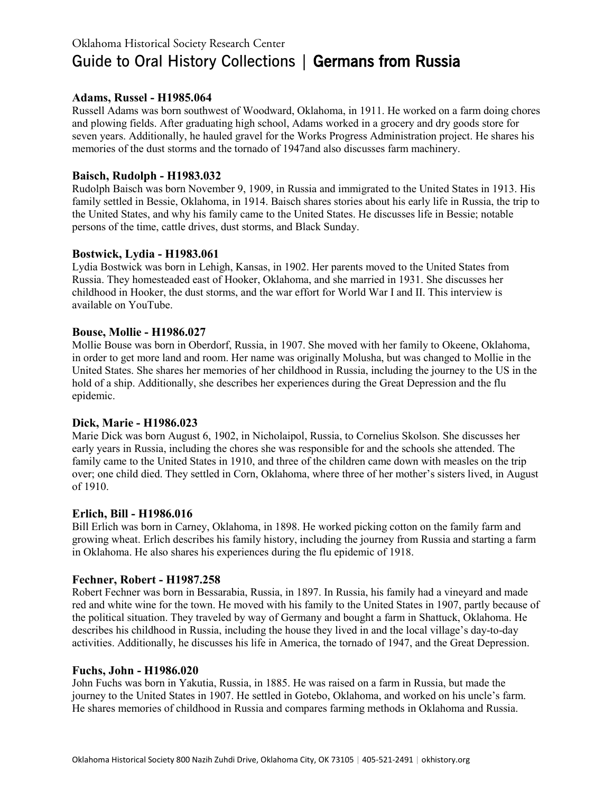# Oklahoma Historical Society Research Center Guide to Oral History Collections | Germans from Russia

## **Adams, Russel - H1985.064**

Russell Adams was born southwest of Woodward, Oklahoma, in 1911. He worked on a farm doing chores and plowing fields. After graduating high school, Adams worked in a grocery and dry goods store for seven years. Additionally, he hauled gravel for the Works Progress Administration project. He shares his memories of the dust storms and the tornado of 1947and also discusses farm machinery.

## **Baisch, Rudolph - H1983.032**

Rudolph Baisch was born November 9, 1909, in Russia and immigrated to the United States in 1913. His family settled in Bessie, Oklahoma, in 1914. Baisch shares stories about his early life in Russia, the trip to the United States, and why his family came to the United States. He discusses life in Bessie; notable persons of the time, cattle drives, dust storms, and Black Sunday.

## **Bostwick, Lydia - H1983.061**

Lydia Bostwick was born in Lehigh, Kansas, in 1902. Her parents moved to the United States from Russia. They homesteaded east of Hooker, Oklahoma, and she married in 1931. She discusses her childhood in Hooker, the dust storms, and the war effort for World War I and II. This interview is available on YouTube.

## **Bouse, Mollie - H1986.027**

Mollie Bouse was born in Oberdorf, Russia, in 1907. She moved with her family to Okeene, Oklahoma, in order to get more land and room. Her name was originally Molusha, but was changed to Mollie in the United States. She shares her memories of her childhood in Russia, including the journey to the US in the hold of a ship. Additionally, she describes her experiences during the Great Depression and the flu epidemic.

## **Dick, Marie - H1986.023**

Marie Dick was born August 6, 1902, in Nicholaipol, Russia, to Cornelius Skolson. She discusses her early years in Russia, including the chores she was responsible for and the schools she attended. The family came to the United States in 1910, and three of the children came down with measles on the trip over; one child died. They settled in Corn, Oklahoma, where three of her mother's sisters lived, in August of 1910.

## **Erlich, Bill - H1986.016**

Bill Erlich was born in Carney, Oklahoma, in 1898. He worked picking cotton on the family farm and growing wheat. Erlich describes his family history, including the journey from Russia and starting a farm in Oklahoma. He also shares his experiences during the flu epidemic of 1918.

# **Fechner, Robert - H1987.258**

Robert Fechner was born in Bessarabia, Russia, in 1897. In Russia, his family had a vineyard and made red and white wine for the town. He moved with his family to the United States in 1907, partly because of the political situation. They traveled by way of Germany and bought a farm in Shattuck, Oklahoma. He describes his childhood in Russia, including the house they lived in and the local village's day-to-day activities. Additionally, he discusses his life in America, the tornado of 1947, and the Great Depression.

## **Fuchs, John - H1986.020**

John Fuchs was born in Yakutia, Russia, in 1885. He was raised on a farm in Russia, but made the journey to the United States in 1907. He settled in Gotebo, Oklahoma, and worked on his uncle's farm. He shares memories of childhood in Russia and compares farming methods in Oklahoma and Russia.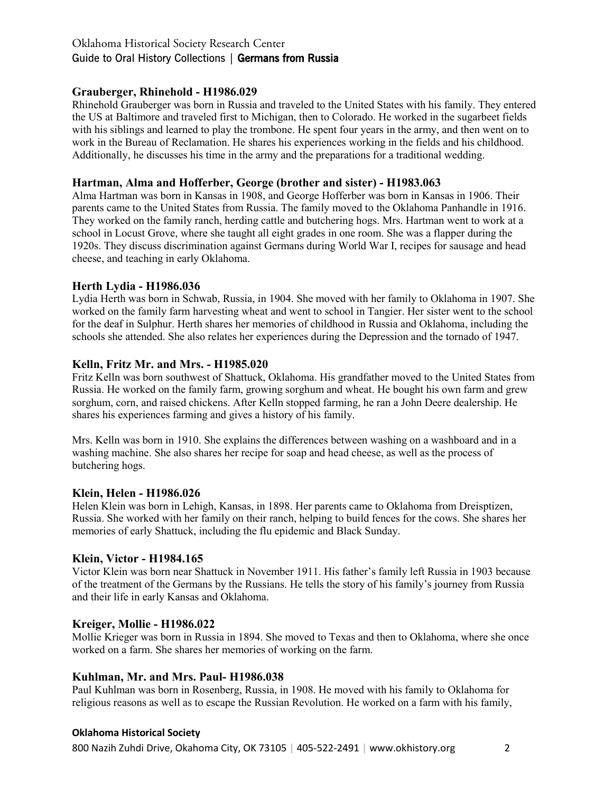# Oklahoma Historical Society Research Center Guide to Oral History Collections | Germans from Russia

## **Grauberger, Rhinehold - H1986.029**

Rhinehold Grauberger was born in Russia and traveled to the United States with his family. They entered the US at Baltimore and traveled first to Michigan, then to Colorado. He worked in the sugarbeet fields with his siblings and learned to play the trombone. He spent four years in the army, and then went on to work in the Bureau of Reclamation. He shares his experiences working in the fields and his childhood. Additionally, he discusses his time in the army and the preparations for a traditional wedding.

## **Hartman, Alma and Hofferber, George (brother and sister) - H1983.063**

Alma Hartman was born in Kansas in 1908, and George Hofferber was born in Kansas in 1906. Their parents came to the United States from Russia. The family moved to the Oklahoma Panhandle in 1916. They worked on the family ranch, herding cattle and butchering hogs. Mrs. Hartman went to work at a school in Locust Grove, where she taught all eight grades in one room. She was a flapper during the 1920s. They discuss discrimination against Germans during World War I, recipes for sausage and head cheese, and teaching in early Oklahoma.

## **Herth Lydia - H1986.036**

Lydia Herth was born in Schwab, Russia, in 1904. She moved with her family to Oklahoma in 1907. She worked on the family farm harvesting wheat and went to school in Tangier. Her sister went to the school for the deaf in Sulphur. Herth shares her memories of childhood in Russia and Oklahoma, including the schools she attended. She also relates her experiences during the Depression and the tornado of 1947.

## **Kelln, Fritz Mr. and Mrs. - H1985.020**

Fritz Kelln was born southwest of Shattuck, Oklahoma. His grandfather moved to the United States from Russia. He worked on the family farm, growing sorghum and wheat. He bought his own farm and grew sorghum, corn, and raised chickens. After Kelln stopped farming, he ran a John Deere dealership. He shares his experiences farming and gives a history of his family.

Mrs. Kelln was born in 1910. She explains the differences between washing on a washboard and in a washing machine. She also shares her recipe for soap and head cheese, as well as the process of butchering hogs.

## **Klein, Helen - H1986.026**

Helen Klein was born in Lehigh, Kansas, in 1898. Her parents came to Oklahoma from Dreisptizen, Russia. She worked with her family on their ranch, helping to build fences for the cows. She shares her memories of early Shattuck, including the flu epidemic and Black Sunday.

# **Klein, Victor - H1984.165**

Victor Klein was born near Shattuck in November 1911. His father's family left Russia in 1903 because of the treatment of the Germans by the Russians. He tells the story of his family's journey from Russia and their life in early Kansas and Oklahoma.

## **Kreiger, Mollie - H1986.022**

Mollie Krieger was born in Russia in 1894. She moved to Texas and then to Oklahoma, where she once worked on a farm. She shares her memories of working on the farm.

## **Kuhlman, Mr. and Mrs. Paul- H1986.038**

Paul Kuhlman was born in Rosenberg, Russia, in 1908. He moved with his family to Oklahoma for religious reasons as well as to escape the Russian Revolution. He worked on a farm with his family,

## **Oklahoma Historical Society**

800 Nazih Zuhdi Drive, Okahoma City, OK 73105 | 405-522-2491 | www.okhistory.org 2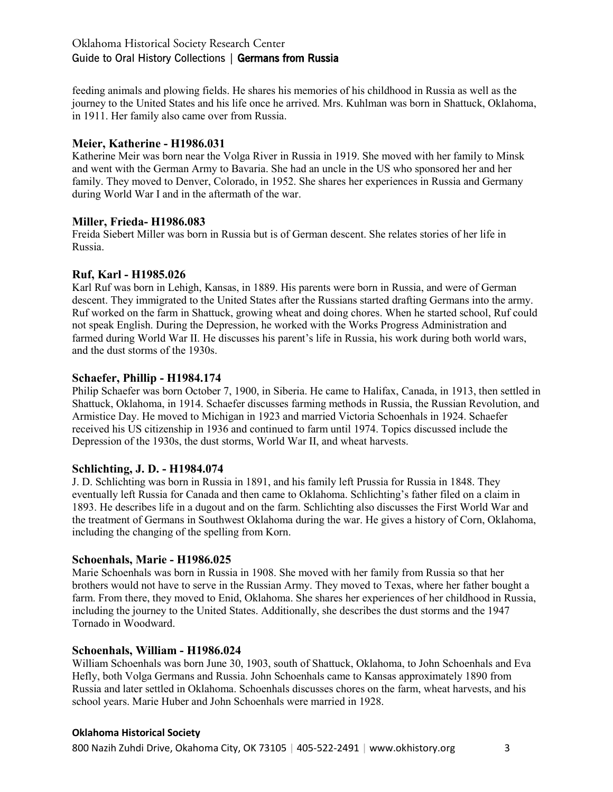feeding animals and plowing fields. He shares his memories of his childhood in Russia as well as the journey to the United States and his life once he arrived. Mrs. Kuhlman was born in Shattuck, Oklahoma, in 1911. Her family also came over from Russia.

# **Meier, Katherine - H1986.031**

Katherine Meir was born near the Volga River in Russia in 1919. She moved with her family to Minsk and went with the German Army to Bavaria. She had an uncle in the US who sponsored her and her family. They moved to Denver, Colorado, in 1952. She shares her experiences in Russia and Germany during World War I and in the aftermath of the war.

## **Miller, Frieda- H1986.083**

Freida Siebert Miller was born in Russia but is of German descent. She relates stories of her life in Russia.

## **Ruf, Karl - H1985.026**

Karl Ruf was born in Lehigh, Kansas, in 1889. His parents were born in Russia, and were of German descent. They immigrated to the United States after the Russians started drafting Germans into the army. Ruf worked on the farm in Shattuck, growing wheat and doing chores. When he started school, Ruf could not speak English. During the Depression, he worked with the Works Progress Administration and farmed during World War II. He discusses his parent's life in Russia, his work during both world wars, and the dust storms of the 1930s.

## **Schaefer, Phillip - H1984.174**

Philip Schaefer was born October 7, 1900, in Siberia. He came to Halifax, Canada, in 1913, then settled in Shattuck, Oklahoma, in 1914. Schaefer discusses farming methods in Russia, the Russian Revolution, and Armistice Day. He moved to Michigan in 1923 and married Victoria Schoenhals in 1924. Schaefer received his US citizenship in 1936 and continued to farm until 1974. Topics discussed include the Depression of the 1930s, the dust storms, World War II, and wheat harvests.

## **Schlichting, J. D. - H1984.074**

J. D. Schlichting was born in Russia in 1891, and his family left Prussia for Russia in 1848. They eventually left Russia for Canada and then came to Oklahoma. Schlichting's father filed on a claim in 1893. He describes life in a dugout and on the farm. Schlichting also discusses the First World War and the treatment of Germans in Southwest Oklahoma during the war. He gives a history of Corn, Oklahoma, including the changing of the spelling from Korn.

## **Schoenhals, Marie - H1986.025**

Marie Schoenhals was born in Russia in 1908. She moved with her family from Russia so that her brothers would not have to serve in the Russian Army. They moved to Texas, where her father bought a farm. From there, they moved to Enid, Oklahoma. She shares her experiences of her childhood in Russia, including the journey to the United States. Additionally, she describes the dust storms and the 1947 Tornado in Woodward.

## **Schoenhals, William - H1986.024**

William Schoenhals was born June 30, 1903, south of Shattuck, Oklahoma, to John Schoenhals and Eva Hefly, both Volga Germans and Russia. John Schoenhals came to Kansas approximately 1890 from Russia and later settled in Oklahoma. Schoenhals discusses chores on the farm, wheat harvests, and his school years. Marie Huber and John Schoenhals were married in 1928.

# **Oklahoma Historical Society**